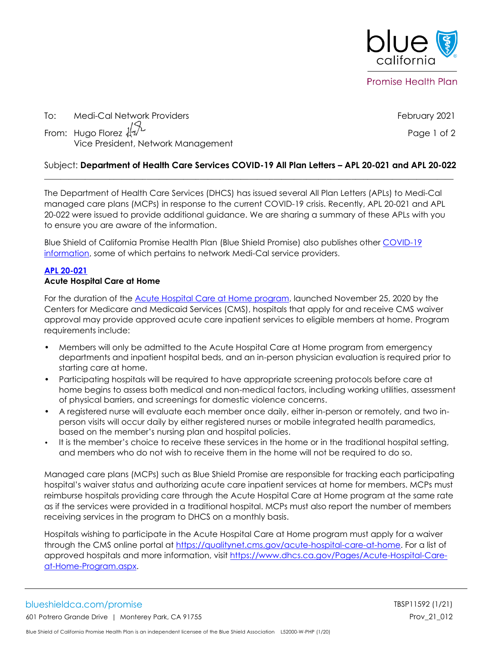

To: Medi-Cal Network Providers February 2021 From: Hugo Florez  $\sqrt[4]{\sqrt{2}}$ Vice President, Network Management

#### Subject: **Department of Health Care Services COVID-19 All Plan Letters – APL 20-021 and APL 20-022**  $\mathcal{L}_\mathcal{L} = \{ \mathcal{L}_\mathcal{L}, \mathcal{L}_\mathcal{L}, \mathcal{L}_\mathcal{L}, \mathcal{L}_\mathcal{L}, \mathcal{L}_\mathcal{L}, \mathcal{L}_\mathcal{L}, \mathcal{L}_\mathcal{L}, \mathcal{L}_\mathcal{L}, \mathcal{L}_\mathcal{L}, \mathcal{L}_\mathcal{L}, \mathcal{L}_\mathcal{L}, \mathcal{L}_\mathcal{L}, \mathcal{L}_\mathcal{L}, \mathcal{L}_\mathcal{L}, \mathcal{L}_\mathcal{L}, \mathcal{L}_\mathcal{L}, \mathcal{L}_\mathcal{L}, \$

The Department of Health Care Services (DHCS) has issued several All Plan Letters (APLs) to Medi-Cal managed care plans (MCPs) in response to the current COVID-19 crisis. Recently, APL 20-021 and APL 20-022 were issued to provide additional guidance. We are sharing a summary of these APLs with you to ensure you are aware of the information.

Blue Shield of California Promise Health Plan (Blue Shield Promise) also publishes other [COVID-19](https://www.blueshieldca.com/bsca/bsc/wcm/connect/provider/provider_content_en/guidelines_resources/COVID-19-network-providers-info)  [information,](https://www.blueshieldca.com/bsca/bsc/wcm/connect/provider/provider_content_en/guidelines_resources/COVID-19-network-providers-info) some of which pertains to network Medi-Cal service providers.

### **[APL 20-021](https://www.dhcs.ca.gov/formsandpubs/Documents/MMCDAPLsandPolicyLetters/APL2020/APL20-021.pdf)**

#### **Acute Hospital Care at Home**

For the duration of the **Acute Hospital Care at Home program**, launched November 25, 2020 by the Centers for Medicare and Medicaid Services (CMS), hospitals that apply for and receive CMS waiver approval may provide approved acute care inpatient services to eligible members at home. Program requirements include:

- Members will only be admitted to the Acute Hospital Care at Home program from emergency departments and inpatient hospital beds, and an in-person physician evaluation is required prior to starting care at home.
- Participating hospitals will be required to have appropriate screening protocols before care at home begins to assess both medical and non-medical factors, including working utilities, assessment of physical barriers, and screenings for domestic violence concerns.
- A registered nurse will evaluate each member once daily, either in-person or remotely, and two inperson visits will occur daily by either registered nurses or mobile integrated health paramedics, based on the member's nursing plan and hospital policies.
- It is the member's choice to receive these services in the home or in the traditional hospital setting, and members who do not wish to receive them in the home will not be required to do so.

Managed care plans (MCPs) such as Blue Shield Promise are responsible for tracking each participating hospital's waiver status and authorizing acute care inpatient services at home for members. MCPs must reimburse hospitals providing care through the Acute Hospital Care at Home program at the same rate as if the services were provided in a traditional hospital. MCPs must also report the number of members receiving services in the program to DHCS on a monthly basis.

Hospitals wishing to participate in the Acute Hospital Care at Home program must apply for a waiver through the CMS online portal at [https://qualitynet.cms.gov/acute-hospital-care-at-home.](https://qualitynet.cms.gov/acute-hospital-care-at-home) For a list of approved hospitals and more information, visit [https://www.dhcs.ca.gov/Pages/Acute-Hospital-Care](https://www.dhcs.ca.gov/Pages/Acute-Hospital-Care-at-Home-Program.aspx)[at-Home-Program.aspx.](https://www.dhcs.ca.gov/Pages/Acute-Hospital-Care-at-Home-Program.aspx)

# blueshieldca.com/promise TBSP11592 (1/21)

601 Potrero Grande Drive | Monterey Park, CA 91755 Provence and the state of the Provence of the Provence of the Provence of the Provence of the Provence of the Provence of the Provence of the Provence of the Provence of t